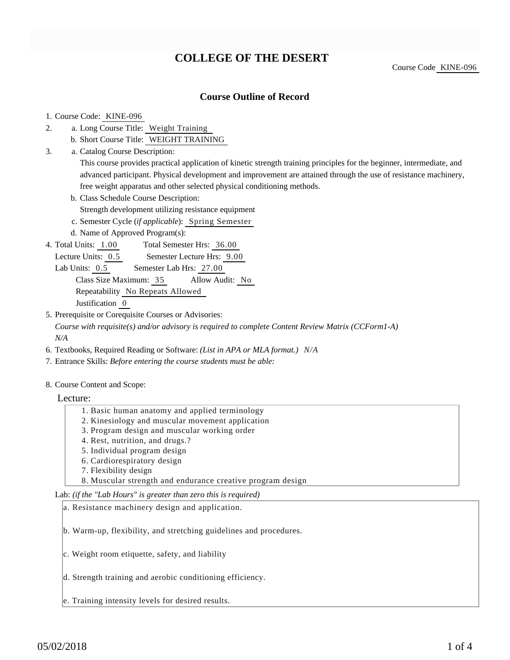# **COLLEGE OF THE DESERT**

Course Code KINE-096

## **Course Outline of Record**

### 1. Course Code: KINE-096

- a. Long Course Title: Weight Training 2.
	- b. Short Course Title: WEIGHT TRAINING
- Catalog Course Description: a. 3.

This course provides practical application of kinetic strength training principles for the beginner, intermediate, and advanced participant. Physical development and improvement are attained through the use of resistance machinery, free weight apparatus and other selected physical conditioning methods.

b. Class Schedule Course Description:

Strength development utilizing resistance equipment

- c. Semester Cycle (*if applicable*): Spring Semester
- d. Name of Approved Program(s):
- Total Semester Hrs: 36.00 4. Total Units: 1.00

Lecture Units:  $0.5$  Semester Lecture Hrs:  $9.00$ 

Lab Units: 0.5 Semester Lab Hrs: 27.00

Class Size Maximum: 35 Allow Audit: No

Repeatability No Repeats Allowed

Justification 0

5. Prerequisite or Corequisite Courses or Advisories:

*Course with requisite(s) and/or advisory is required to complete Content Review Matrix (CCForm1-A) N/A*

- 6. Textbooks, Required Reading or Software: *(List in APA or MLA format.) N/A*
- 7. Entrance Skills: *Before entering the course students must be able:*
- 8. Course Content and Scope:

### Lecture:

- 1. Basic human anatomy and applied terminology
- 2. Kinesiology and muscular movement application
- 3. Program design and muscular working order
- 4. Rest, nutrition, and drugs.?
- 5. Individual program design
- 6. Cardiorespiratory design
- 7. Flexibility design
- 8. Muscular strength and endurance creative program design

Lab: *(if the "Lab Hours" is greater than zero this is required)*

a. Resistance machinery design and application.

b. Warm-up, flexibility, and stretching guidelines and procedures.

- c. Weight room etiquette, safety, and liability
- d. Strength training and aerobic conditioning efficiency.
- e. Training intensity levels for desired results.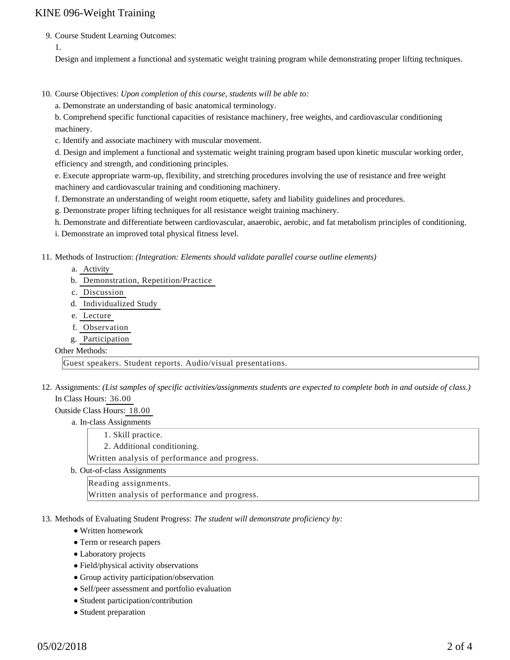## KINE 096-Weight Training

9. Course Student Learning Outcomes:

1.

Design and implement a functional and systematic weight training program while demonstrating proper lifting techniques.

10. Course Objectives: Upon completion of this course, students will be able to:

a. Demonstrate an understanding of basic anatomical terminology.

b. Comprehend specific functional capacities of resistance machinery, free weights, and cardiovascular conditioning machinery.

c. Identify and associate machinery with muscular movement.

d. Design and implement a functional and systematic weight training program based upon kinetic muscular working order, efficiency and strength, and conditioning principles.

e. Execute appropriate warm-up, flexibility, and stretching procedures involving the use of resistance and free weight machinery and cardiovascular training and conditioning machinery.

f. Demonstrate an understanding of weight room etiquette, safety and liability guidelines and procedures.

g. Demonstrate proper lifting techniques for all resistance weight training machinery.

h. Demonstrate and differentiate between cardiovascular, anaerobic, aerobic, and fat metabolism principles of conditioning.

i. Demonstrate an improved total physical fitness level.

11. Methods of Instruction: *(Integration: Elements should validate parallel course outline elements)* 

- a. Activity
- b. Demonstration, Repetition/Practice
- c. Discussion
- d. Individualized Study
- e. Lecture
- f. Observation
- g. Participation

#### Other Methods:

Guest speakers. Student reports. Audio/visual presentations.

12. Assignments: (List samples of specific activities/assignments students are expected to complete both in and outside of class.) In Class Hours: 36.00

Outside Class Hours: 18.00

a. In-class Assignments

1. Skill practice.

2. Additional conditioning.

Written analysis of performance and progress.

b. Out-of-class Assignments

Reading assignments.

Written analysis of performance and progress.

13. Methods of Evaluating Student Progress: The student will demonstrate proficiency by:

- Written homework
- Term or research papers
- Laboratory projects
- Field/physical activity observations
- Group activity participation/observation
- Self/peer assessment and portfolio evaluation
- Student participation/contribution
- Student preparation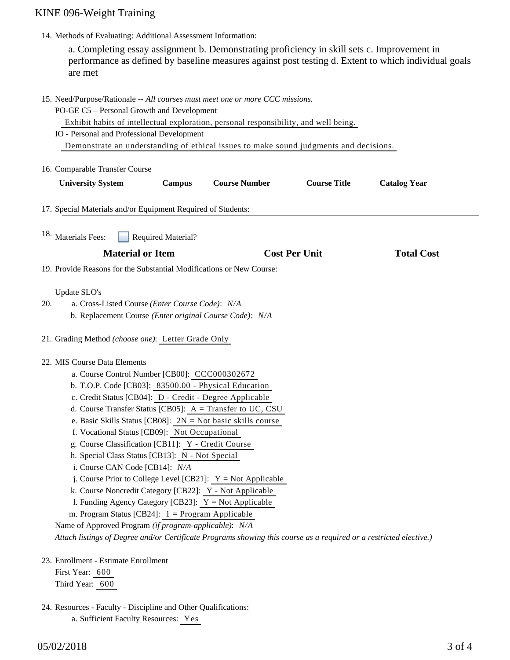# KINE 096-Weight Training

14. Methods of Evaluating: Additional Assessment Information:

a. Completing essay assignment b. Demonstrating proficiency in skill sets c. Improvement in performance as defined by baseline measures against post testing d. Extent to which individual goals are met

|                                                                                                                                                                                                                                                                                                                                                                                                                                                                                                                                                                                                                                                                                                                                                                                                                                                                                                                                                          | 15. Need/Purpose/Rationale -- All courses must meet one or more CCC missions.<br>PO-GE C5 - Personal Growth and Development<br>Exhibit habits of intellectual exploration, personal responsibility, and well being.<br>IO - Personal and Professional Development<br>Demonstrate an understanding of ethical issues to make sound judgments and decisions. |                                                                      |                      |                     |                     |  |
|----------------------------------------------------------------------------------------------------------------------------------------------------------------------------------------------------------------------------------------------------------------------------------------------------------------------------------------------------------------------------------------------------------------------------------------------------------------------------------------------------------------------------------------------------------------------------------------------------------------------------------------------------------------------------------------------------------------------------------------------------------------------------------------------------------------------------------------------------------------------------------------------------------------------------------------------------------|------------------------------------------------------------------------------------------------------------------------------------------------------------------------------------------------------------------------------------------------------------------------------------------------------------------------------------------------------------|----------------------------------------------------------------------|----------------------|---------------------|---------------------|--|
|                                                                                                                                                                                                                                                                                                                                                                                                                                                                                                                                                                                                                                                                                                                                                                                                                                                                                                                                                          | 16. Comparable Transfer Course                                                                                                                                                                                                                                                                                                                             |                                                                      |                      |                     |                     |  |
|                                                                                                                                                                                                                                                                                                                                                                                                                                                                                                                                                                                                                                                                                                                                                                                                                                                                                                                                                          | <b>University System</b>                                                                                                                                                                                                                                                                                                                                   | <b>Campus</b>                                                        | <b>Course Number</b> | <b>Course Title</b> | <b>Catalog Year</b> |  |
|                                                                                                                                                                                                                                                                                                                                                                                                                                                                                                                                                                                                                                                                                                                                                                                                                                                                                                                                                          | 17. Special Materials and/or Equipment Required of Students:                                                                                                                                                                                                                                                                                               |                                                                      |                      |                     |                     |  |
|                                                                                                                                                                                                                                                                                                                                                                                                                                                                                                                                                                                                                                                                                                                                                                                                                                                                                                                                                          | 18. Materials Fees:                                                                                                                                                                                                                                                                                                                                        | Required Material?                                                   |                      |                     |                     |  |
|                                                                                                                                                                                                                                                                                                                                                                                                                                                                                                                                                                                                                                                                                                                                                                                                                                                                                                                                                          | <b>Material or Item</b>                                                                                                                                                                                                                                                                                                                                    |                                                                      | <b>Cost Per Unit</b> |                     | <b>Total Cost</b>   |  |
|                                                                                                                                                                                                                                                                                                                                                                                                                                                                                                                                                                                                                                                                                                                                                                                                                                                                                                                                                          |                                                                                                                                                                                                                                                                                                                                                            | 19. Provide Reasons for the Substantial Modifications or New Course: |                      |                     |                     |  |
| 20.                                                                                                                                                                                                                                                                                                                                                                                                                                                                                                                                                                                                                                                                                                                                                                                                                                                                                                                                                      | Update SLO's<br>a. Cross-Listed Course (Enter Course Code): N/A<br>b. Replacement Course (Enter original Course Code): N/A                                                                                                                                                                                                                                 |                                                                      |                      |                     |                     |  |
|                                                                                                                                                                                                                                                                                                                                                                                                                                                                                                                                                                                                                                                                                                                                                                                                                                                                                                                                                          | 21. Grading Method (choose one): Letter Grade Only                                                                                                                                                                                                                                                                                                         |                                                                      |                      |                     |                     |  |
| 22. MIS Course Data Elements<br>a. Course Control Number [CB00]: CCC000302672<br>b. T.O.P. Code [CB03]: 83500.00 - Physical Education<br>c. Credit Status [CB04]: D - Credit - Degree Applicable<br>d. Course Transfer Status [CB05]: $A = Transfer to UC, CSU$<br>e. Basic Skills Status [CB08]: $2N = Not basic skills course$<br>f. Vocational Status [CB09]: Not Occupational<br>g. Course Classification [CB11]: Y - Credit Course<br>h. Special Class Status [CB13]: N - Not Special<br>i. Course CAN Code [CB14]: N/A<br>j. Course Prior to College Level [CB21]: $Y = Not$ Applicable<br>k. Course Noncredit Category [CB22]: Y - Not Applicable<br>1. Funding Agency Category [CB23]: $Y = Not$ Applicable<br>m. Program Status [CB24]: $1 =$ Program Applicable<br>Name of Approved Program (if program-applicable): N/A<br>Attach listings of Degree and/or Certificate Programs showing this course as a required or a restricted elective.) |                                                                                                                                                                                                                                                                                                                                                            |                                                                      |                      |                     |                     |  |
|                                                                                                                                                                                                                                                                                                                                                                                                                                                                                                                                                                                                                                                                                                                                                                                                                                                                                                                                                          | 23. Enrollment - Estimate Enrollment<br>First Year: 600<br>Third Year: 600                                                                                                                                                                                                                                                                                 |                                                                      |                      |                     |                     |  |

24. Resources - Faculty - Discipline and Other Qualifications:

a. Sufficient Faculty Resources: Yes